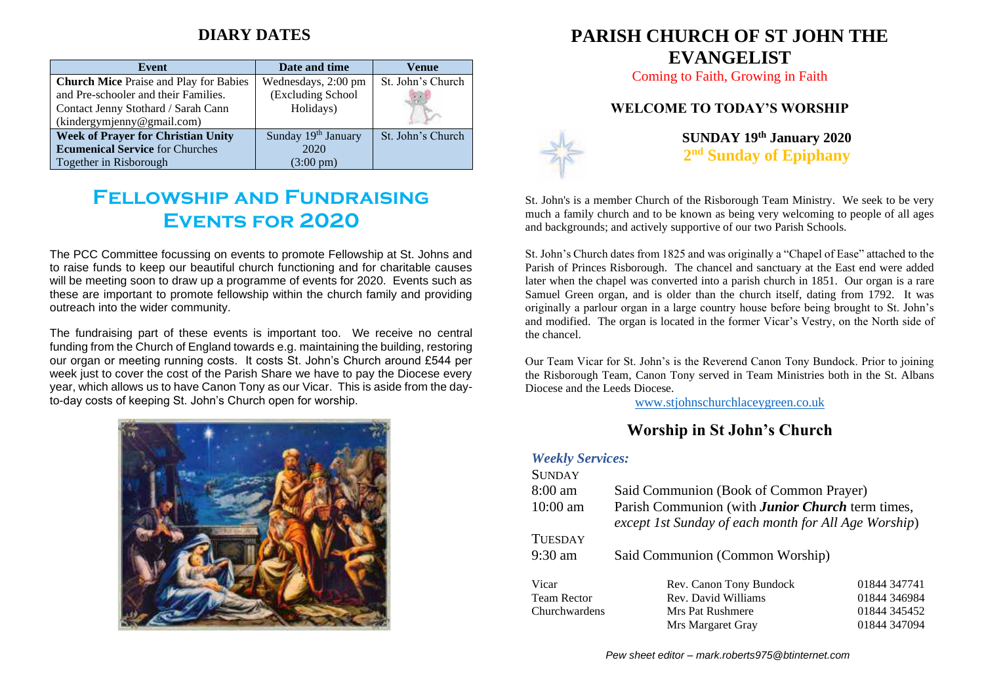## **DIARY DATES**

| Event                                         | Date and time       | Venue             |
|-----------------------------------------------|---------------------|-------------------|
| <b>Church Mice</b> Praise and Play for Babies | Wednesdays, 2:00 pm | St. John's Church |
| and Pre-schooler and their Families.          | (Excluding School   |                   |
| Contact Jenny Stothard / Sarah Cann           | Holidays)           |                   |
| (kindergymjenny@gmail.com)                    |                     |                   |
| <b>Week of Prayer for Christian Unity</b>     | Sunday 19th January | St. John's Church |
| <b>Ecumenical Service</b> for Churches        | 2020                |                   |
| Together in Risborough                        | $(3:00 \text{ pm})$ |                   |

# **Fellowship and Fundraising Events for 2020**

The PCC Committee focussing on events to promote Fellowship at St. Johns and to raise funds to keep our beautiful church functioning and for charitable causes will be meeting soon to draw up a programme of events for 2020. Events such as these are important to promote fellowship within the church family and providing outreach into the wider community.

The fundraising part of these events is important too. We receive no central funding from the Church of England towards e.g. maintaining the building, restoring our organ or meeting running costs. It costs St. John's Church around £544 per week just to cover the cost of the Parish Share we have to pay the Diocese every year, which allows us to have Canon Tony as our Vicar. This is aside from the dayto-day costs of keeping St. John's Church open for worship.



## **PARISH CHURCH OF ST JOHN THE EVANGELIST**

Coming to Faith, Growing in Faith

#### **WELCOME TO TODAY'S WORSHIP**



**SUNDAY 19 th January 2020 2 nd Sunday of Epiphany**

St. John's is a member Church of the Risborough Team Ministry. We seek to be very much a family church and to be known as being very welcoming to people of all ages and backgrounds; and actively supportive of our two Parish Schools.

St. John's Church dates from 1825 and was originally a "Chapel of Ease" attached to the Parish of Princes Risborough. The chancel and sanctuary at the East end were added later when the chapel was converted into a parish church in 1851. Our organ is a rare Samuel Green organ, and is older than the church itself, dating from 1792. It was originally a parlour organ in a large country house before being brought to St. John's and modified. The organ is located in the former Vicar's Vestry, on the North side of the chancel.

Our Team Vicar for St. John's is the Reverend Canon Tony Bundock. Prior to joining the Risborough Team, Canon Tony served in Team Ministries both in the St. Albans Diocese and the Leeds Diocese.

[www.stjohnschurchlaceygreen.co.uk](http://www.stjohnschurchlaceygreen.co.uk/)

### **Worship in St John's Church**

| <b>Weekly Services:</b> |                                                                                                                 |              |  |
|-------------------------|-----------------------------------------------------------------------------------------------------------------|--------------|--|
| <b>SUNDAY</b>           |                                                                                                                 |              |  |
| $8:00 \text{ am}$       | Said Communion (Book of Common Prayer)                                                                          |              |  |
| $10:00$ am              | Parish Communion (with <b>Junior Church</b> term times,<br>except 1st Sunday of each month for All Age Worship) |              |  |
| <b>TUESDAY</b>          |                                                                                                                 |              |  |
| $9:30 \text{ am}$       | Said Communion (Common Worship)                                                                                 |              |  |
| Vicar                   | Rev. Canon Tony Bundock                                                                                         | 01844 347741 |  |
| <b>Team Rector</b>      | Rev. David Williams                                                                                             | 01844 346984 |  |
| Churchwardens           | Mrs Pat Rushmere                                                                                                | 01844 345452 |  |
|                         | Mrs Margaret Gray                                                                                               | 01844 347094 |  |